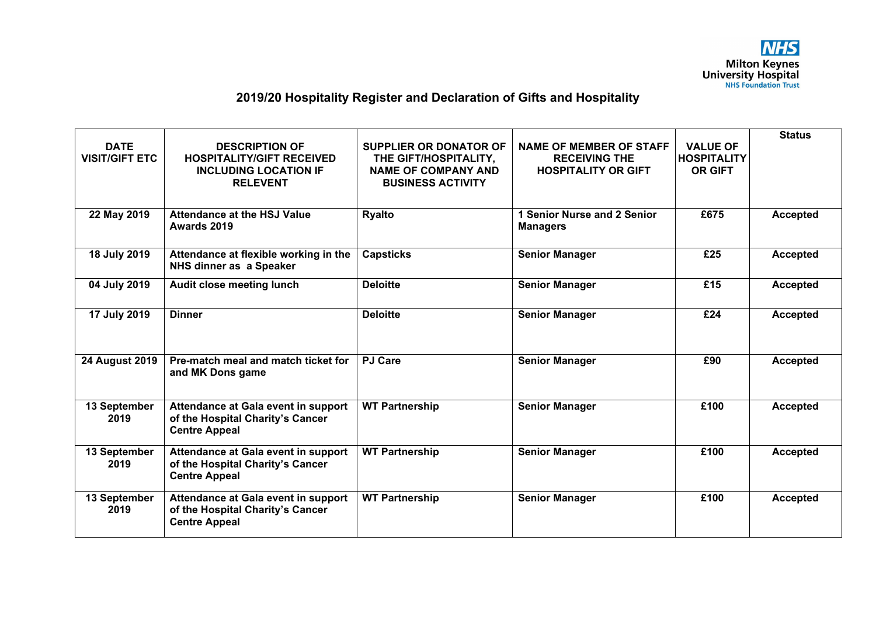

## **2019/20 Hospitality Register and Declaration of Gifts and Hospitality**

| <b>DATE</b>           | <b>DESCRIPTION OF</b>                                                                           | <b>SUPPLIER OR DONATOR OF</b>                                                   | <b>NAME OF MEMBER OF STAFF</b>                     | <b>VALUE OF</b>                      | <b>Status</b>   |
|-----------------------|-------------------------------------------------------------------------------------------------|---------------------------------------------------------------------------------|----------------------------------------------------|--------------------------------------|-----------------|
| <b>VISIT/GIFT ETC</b> | <b>HOSPITALITY/GIFT RECEIVED</b><br><b>INCLUDING LOCATION IF</b><br><b>RELEVENT</b>             | THE GIFT/HOSPITALITY,<br><b>NAME OF COMPANY AND</b><br><b>BUSINESS ACTIVITY</b> | <b>RECEIVING THE</b><br><b>HOSPITALITY OR GIFT</b> | <b>HOSPITALITY</b><br><b>OR GIFT</b> |                 |
| 22 May 2019           | <b>Attendance at the HSJ Value</b><br>Awards 2019                                               | <b>Ryalto</b>                                                                   | 1 Senior Nurse and 2 Senior<br><b>Managers</b>     | £675                                 | <b>Accepted</b> |
| 18 July 2019          | Attendance at flexible working in the<br>NHS dinner as a Speaker                                | <b>Capsticks</b>                                                                | <b>Senior Manager</b>                              | £25                                  | <b>Accepted</b> |
| 04 July 2019          | Audit close meeting lunch                                                                       | <b>Deloitte</b>                                                                 | <b>Senior Manager</b>                              | £15                                  | <b>Accepted</b> |
| 17 July 2019          | <b>Dinner</b>                                                                                   | <b>Deloitte</b>                                                                 | <b>Senior Manager</b>                              | £24                                  | <b>Accepted</b> |
| 24 August 2019        | Pre-match meal and match ticket for<br>and MK Dons game                                         | <b>PJ Care</b>                                                                  | <b>Senior Manager</b>                              | £90                                  | <b>Accepted</b> |
| 13 September<br>2019  | Attendance at Gala event in support<br>of the Hospital Charity's Cancer<br><b>Centre Appeal</b> | <b>WT Partnership</b>                                                           | <b>Senior Manager</b>                              | £100                                 | <b>Accepted</b> |
| 13 September<br>2019  | Attendance at Gala event in support<br>of the Hospital Charity's Cancer<br><b>Centre Appeal</b> | <b>WT Partnership</b>                                                           | <b>Senior Manager</b>                              | £100                                 | <b>Accepted</b> |
| 13 September<br>2019  | Attendance at Gala event in support<br>of the Hospital Charity's Cancer<br><b>Centre Appeal</b> | <b>WT Partnership</b>                                                           | <b>Senior Manager</b>                              | £100                                 | <b>Accepted</b> |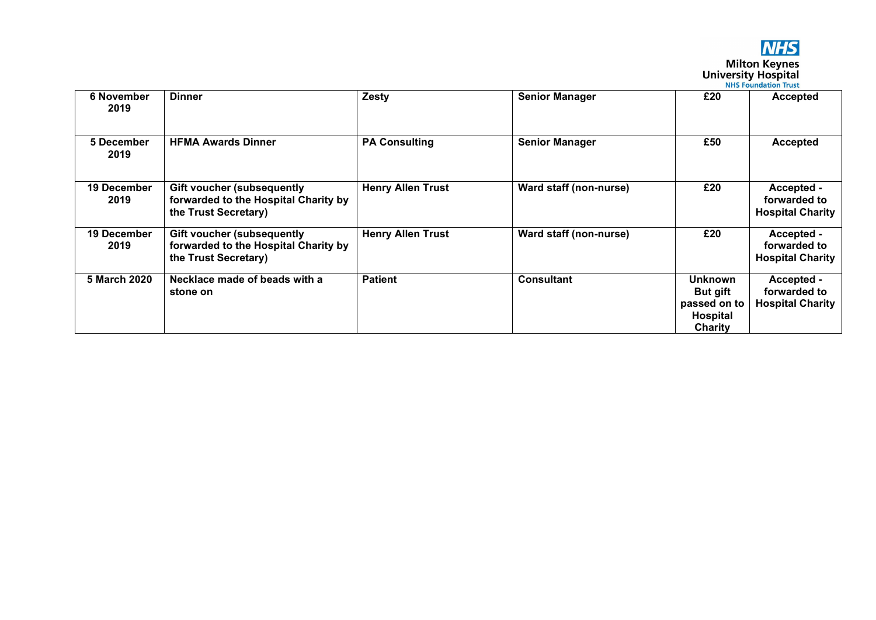

## **NHS**<br>Milton Keynes<br>University Hospital

| <b>NHS Foundation Trust</b> |  |
|-----------------------------|--|
|                             |  |

| <b>6 November</b><br>2019 | <b>Dinner</b>                                                                                     | Zesty                    | <b>Senior Manager</b>         | £20                                                               | <b>Accepted</b>                                       |
|---------------------------|---------------------------------------------------------------------------------------------------|--------------------------|-------------------------------|-------------------------------------------------------------------|-------------------------------------------------------|
| 5 December<br>2019        | <b>HFMA Awards Dinner</b>                                                                         | <b>PA Consulting</b>     | <b>Senior Manager</b>         | £50                                                               | <b>Accepted</b>                                       |
| 19 December<br>2019       | <b>Gift voucher (subsequently</b><br>forwarded to the Hospital Charity by<br>the Trust Secretary) | <b>Henry Allen Trust</b> | <b>Ward staff (non-nurse)</b> | £20                                                               | Accepted -<br>forwarded to<br><b>Hospital Charity</b> |
| 19 December<br>2019       | Gift voucher (subsequently<br>forwarded to the Hospital Charity by<br>the Trust Secretary)        | <b>Henry Allen Trust</b> | Ward staff (non-nurse)        | £20                                                               | Accepted -<br>forwarded to<br><b>Hospital Charity</b> |
| 5 March 2020              | Necklace made of beads with a<br>stone on                                                         | <b>Patient</b>           | <b>Consultant</b>             | Unknown<br><b>But gift</b><br>passed on to<br>Hospital<br>Charity | Accepted -<br>forwarded to<br><b>Hospital Charity</b> |